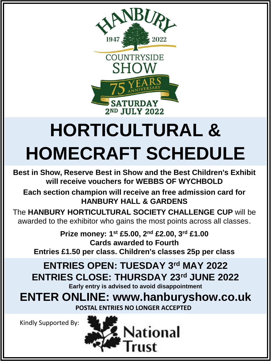

# **HORTICULTURAL & HOMECRAFT SCHEDULE**

**Best in Show, Reserve Best in Show and the Best Children's Exhibit will receive vouchers for WEBBS OF WYCHBOLD**

**Each section champion will receive an free admission card for HANBURY HALL & GARDENS**

The **HANBURY HORTICULTURAL SOCIETY CHALLENGE CUP** will be awarded to the exhibitor who gains the most points across all classes.

**Prize money: 1st £5.00, 2nd £2.00, 3rd £1.00 Cards awarded to Fourth Entries £1.50 per class. Children's classes 25p per class**

**ENTRIES OPEN: TUESDAY 3rd MAY 2022 ENTRIES CLOSE: THURSDAY 23rd JUNE 2022**

**Early entry is advised to avoid disappointment** 

**ENTER ONLINE: www.hanburyshow.co.uk POSTAL ENTRIES NO LONGER ACCEPTED**

Kindly Supported By:

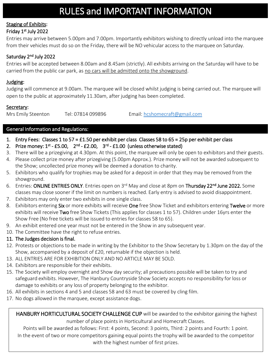# RULES and IMPORTANT INFORMATION

### Staging of Exhibits:

#### Friday 1st July 2022

Entries may arrive between 5.00pm and 7.00pm. Importantly exhibitors wishing to directly unload into the marquee from their vehicles must do so on the Friday, there will be NO vehicular access to the marquee on Saturday.

#### Saturday 2<sup>nd</sup> July 2022

Entries will be accepted between 8.00am and 8.45am (strictly). All exhibits arriving on the Saturday will have to be carried from the public car park, as no cars will be admitted onto the showground.

#### Judging:

Judging will commence at 9.00am. The marquee will be closed whilst judging is being carried out. The marquee will open to the public at approximately 11.30am, after judging has been completed.

#### Secretary:

Mrs Emily Steenton Tel: 07814 099896 Email: [hcshomecraft@gmail.com](mailto:hcshomecraft@gmail.com)

#### General Information and Regulations:

- 1. Entry Fees: Classes 1 to 57 = £1.50 per exhibit per class Classes 58 to 65 = 25p per exhibit per class
- 2. Prize money:  $1^{st}$  £5.00,  $2^{nd}$  £2.00,  $3^{rd}$  £1.00 (unless otherwise stated)
- 3. There will be a prizegiving at 4.30pm. At this point, the marquee will only be open to exhibitors and their guests.
- 4. Please collect prize money after prizegiving (5.00pm Approx.). Prize money will not be awarded subsequent to the Show; uncollected prize money will be deemed a donation to charity.
- 5. Exhibitors who qualify for trophies may be asked for a deposit in order that they may be removed from the showground.
- 6. Entries: ONLINE ENTRIES ONLY. Entries open on 3<sup>rd</sup> May and close at 8pm on Thursday 22<sup>nd</sup> June 2022. Some classes may close sooner if the limit on numbers is reached. Early entry is advised to avoid disappointment.
- 7. Exhibitors may only enter two exhibits in one single class.
- 8. Exhibitors entering Six or more exhibits will receive One free Show Ticket and exhibitors entering Twelve or more exhibits will receive Two free Show Tickets (This applies for classes 1 to 57). Children under 16yrs enter the Show Free (No free tickets will be issued to entries for classes 58 to 65).
- 9. An exhibit entered one year must not be entered in the Show in any subsequent year.
- 10. The Committee have the right to refuse entries.

#### 11. The Judges decision is final.

- 12. Protests or objections to be made in writing by the Exhibitor to the Show Secretary by 1.30pm on the day of the Show, accompanied by a deposit of £20, returnable if the objection is held.
- 13. ALL ENTRIES ARE FOR EXHIBITION ONLY AND NO ARTICLE MAY BE SOLD.
- 14. Exhibitors are responsible for their exhibits.
- 15. The Society will employ overnight and Show day security; all precautions possible will be taken to try and safeguard exhibits. However, The Hanbury Countryside Show Society accepts no responsibility for loss or damage to exhibits or any loss of property belonging to the exhibitor.
- 16. All exhibits in sections 4 and 5 and classes 58 and 63 must be covered by cling film.
- 17. No dogs allowed in the marquee, except assistance dogs.

HANBURY HORTICULTURAL SOCIETY CHALLENGE CUP will be awarded to the exhibitor gaining the highest number of place points in Horticultural and Homecraft Classes.

Points will be awarded as follows: First: 4 points, Second: 3 points, Third: 2 points and Fourth: 1 point. In the event of two or more competitors gaining equal points the trophy will be awarded to the competitor with the highest number of first prizes.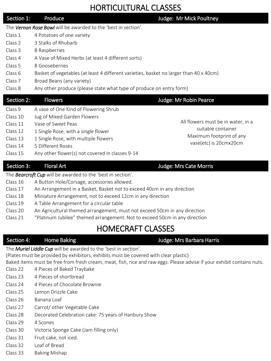# HORTICULTURAL CLASSES

| Section 1:                                                            | Produce                                                                                | Judge: Mr Mick Poultney                            |  |
|-----------------------------------------------------------------------|----------------------------------------------------------------------------------------|----------------------------------------------------|--|
| The <b>Vernon Rose Bowl</b> will be awarded to the 'best in section'. |                                                                                        |                                                    |  |
| Class 1                                                               | 4 Potatoes of one variety                                                              |                                                    |  |
| Class 2                                                               | 3 Stalks of Rhubarb                                                                    |                                                    |  |
| Class 3                                                               | 8 Raspberries                                                                          |                                                    |  |
| Class 4                                                               | A Vase of Mixed Herbs (at least 4 different sorts)                                     |                                                    |  |
| Class 5                                                               | 8 Gooseberries                                                                         |                                                    |  |
| Class 6                                                               | Basket of vegetables (at least 4 different varieties, basket no larger than 40 x 40cm) |                                                    |  |
| Class 7                                                               | Broad Beans (any variety)                                                              |                                                    |  |
| Class 8                                                               | Any other produce (please state what type of produce on entry form)                    |                                                    |  |
| Section 2:                                                            | <b>Flowers</b>                                                                         | Judge: Mr Robin Pearce                             |  |
| Class 9                                                               | A vase of One Kind of Flowering Shrub                                                  |                                                    |  |
| Class 10                                                              | Jug of Mixed Garden Flowers                                                            |                                                    |  |
| Class 11                                                              | Vase of Sweet Peas                                                                     | All flowers must be in water, in a                 |  |
| Class 12                                                              | 1 Single Rose, with a single flower                                                    | suitable container                                 |  |
| Class 13                                                              | 1 Single Rose, with multiple flowers                                                   | Maximum footprint of any<br>vase(etc) is 20cmx20cm |  |
| Class 14                                                              | 5 Different Roses                                                                      |                                                    |  |
| Class 15                                                              | Any other flower(s) not covered in classes 9-14                                        |                                                    |  |

#### Section 3: Floral Art Judge: Mrs Cate Morris

The *Bearcroft Cup* will be awarded to the 'best in section'.

- Class 16 A Button Hole/Corsage, accessories allowed.
- Class 17 An Arrangement in a Basket, Basket not to exceed 40cm in any direction
- Class 18 Miniature Arrangement, not to exceed 12cm in any direction
- Class 19 A Table Arrangement for a circular table
- Class 20 An Agricultural themed arrangement, must not exceed 50cm in any direction
- Class 21 "Platinum Jubilee" themed arrangement. Not to exceed 50cm in any direction

# HOMECRAFT CLASSES

#### Section 4: Home Baking Section 4: Home Baking Section 4: All and Barbara Harris

The *Muriel Liddle Cup* will be awarded to the 'best in section'.

(Plates must be provided by exhibitors, exhibits must be covered with clear plastic)

Baked items must be free from fresh cream, meat, fish, rice and raw eggs. Please advise if your exhibit contains nuts.

- Class 22 4 Pieces of Baked Traybake
- Class 23 4 Pieces of shortbread
- Class 24 4 Pieces of Chocolate Brownie
- Class 25 Lemon Drizzle Cake
- Class 26 Banana Loaf
- Class 27 Carrot/ other Vegetable Cake
- Class 28 Decorated Celebration cake: 75 years of Hanbury Show
- Class 29 4 Scones
- Class 30 Victoria Sponge Cake (Jam filling only)
- Class 31 Fruit cake, not iced.
- Class 32 Loaf of Bread
- Class 33 Baking Mishap